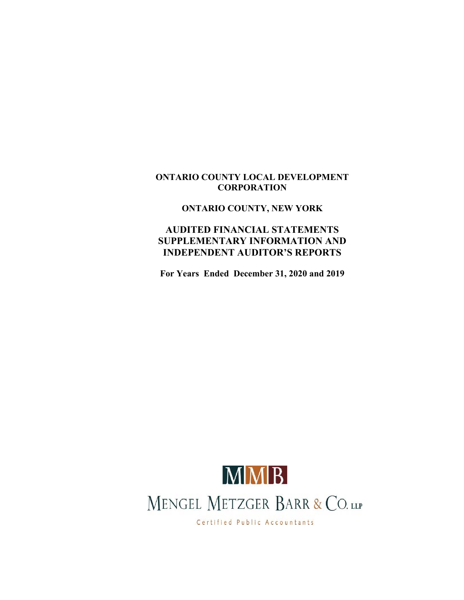# **ONTARIO COUNTY LOCAL DEVELOPMENT CORPORATION**

# **ONTARIO COUNTY, NEW YORK**

# **AUDITED FINANCIAL STATEMENTS SUPPLEMENTARY INFORMATION AND INDEPENDENT AUDITOR'S REPORTS**

**For Years Ended December 31, 2020 and 2019**

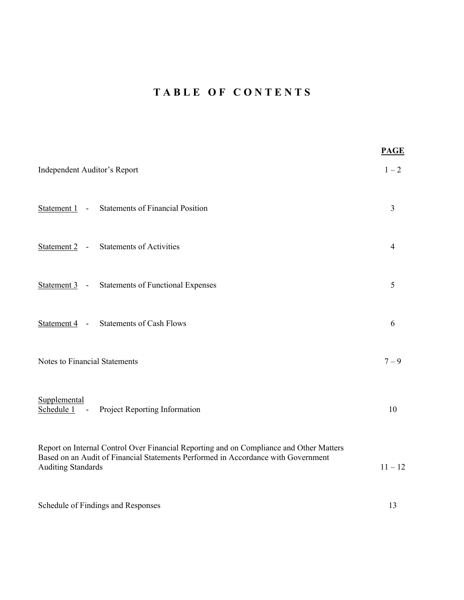# **T A B L E O F C O N T E N T S**

|                                                                                                                                                                                                           | <b>PAGE</b>    |
|-----------------------------------------------------------------------------------------------------------------------------------------------------------------------------------------------------------|----------------|
| Independent Auditor's Report                                                                                                                                                                              | $1 - 2$        |
| Statement 1 - Statements of Financial Position                                                                                                                                                            | 3              |
| Statement 2 - Statements of Activities                                                                                                                                                                    | $\overline{4}$ |
| Statement 3 - Statements of Functional Expenses                                                                                                                                                           | 5              |
| Statement 4 - Statements of Cash Flows                                                                                                                                                                    | 6              |
| Notes to Financial Statements                                                                                                                                                                             | $7 - 9$        |
| Supplemental<br>Project Reporting Information<br>Schedule 1<br>$\sim 100$                                                                                                                                 | 10             |
| Report on Internal Control Over Financial Reporting and on Compliance and Other Matters<br>Based on an Audit of Financial Statements Performed in Accordance with Government<br><b>Auditing Standards</b> | $11 - 12$      |
| Schedule of Findings and Responses                                                                                                                                                                        | 13             |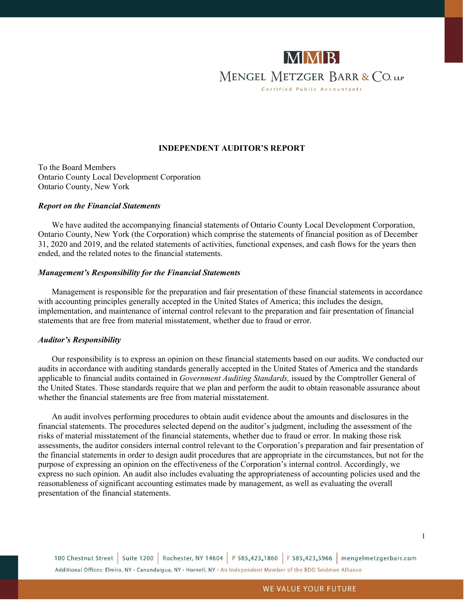

#### **INDEPENDENT AUDITOR'S REPORT**

To the Board Members Ontario County Local Development Corporation Ontario County, New York

#### *Report on the Financial Statements*

We have audited the accompanying financial statements of Ontario County Local Development Corporation, Ontario County, New York (the Corporation) which comprise the statements of financial position as of December 31, 2020 and 2019, and the related statements of activities, functional expenses, and cash flows for the years then ended, and the related notes to the financial statements.

#### *Management's Responsibility for the Financial Statements*

Management is responsible for the preparation and fair presentation of these financial statements in accordance with accounting principles generally accepted in the United States of America; this includes the design, implementation, and maintenance of internal control relevant to the preparation and fair presentation of financial statements that are free from material misstatement, whether due to fraud or error.

#### *Auditor's Responsibility*

Our responsibility is to express an opinion on these financial statements based on our audits. We conducted our audits in accordance with auditing standards generally accepted in the United States of America and the standards applicable to financial audits contained in *Government Auditing Standards,* issued by the Comptroller General of the United States. Those standards require that we plan and perform the audit to obtain reasonable assurance about whether the financial statements are free from material misstatement.

An audit involves performing procedures to obtain audit evidence about the amounts and disclosures in the financial statements. The procedures selected depend on the auditor's judgment, including the assessment of the risks of material misstatement of the financial statements, whether due to fraud or error. In making those risk assessments, the auditor considers internal control relevant to the Corporation's preparation and fair presentation of the financial statements in order to design audit procedures that are appropriate in the circumstances, but not for the purpose of expressing an opinion on the effectiveness of the Corporation's internal control. Accordingly, we express no such opinion. An audit also includes evaluating the appropriateness of accounting policies used and the reasonableness of significant accounting estimates made by management, as well as evaluating the overall presentation of the financial statements.

100 Chestnut Street | Suite 1200 | Rochester, NY 14604 | P 585.423.1860 | F 585.423.5966 | mengelmetzgerbarr.com Additional Offices: Elmira, NY · Canandaigua, NY · Hornell, NY · An Independent Member of the BDO Seidman Alliance

1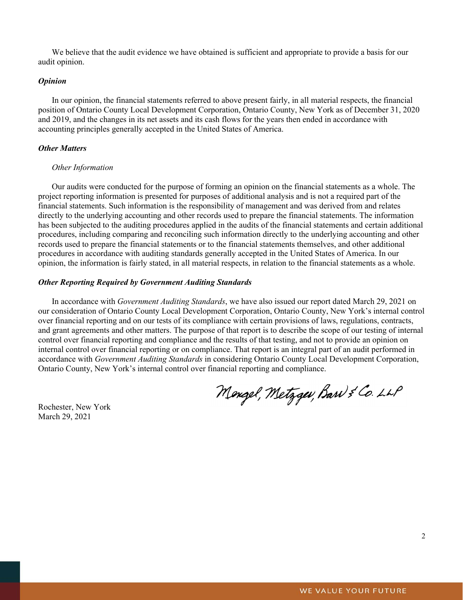We believe that the audit evidence we have obtained is sufficient and appropriate to provide a basis for our audit opinion.

#### *Opinion*

In our opinion, the financial statements referred to above present fairly, in all material respects, the financial position of Ontario County Local Development Corporation, Ontario County, New York as of December 31, 2020 and 2019, and the changes in its net assets and its cash flows for the years then ended in accordance with accounting principles generally accepted in the United States of America.

#### *Other Matters*

#### *Other Information*

Our audits were conducted for the purpose of forming an opinion on the financial statements as a whole. The project reporting information is presented for purposes of additional analysis and is not a required part of the financial statements. Such information is the responsibility of management and was derived from and relates directly to the underlying accounting and other records used to prepare the financial statements. The information has been subjected to the auditing procedures applied in the audits of the financial statements and certain additional procedures, including comparing and reconciling such information directly to the underlying accounting and other records used to prepare the financial statements or to the financial statements themselves, and other additional procedures in accordance with auditing standards generally accepted in the United States of America. In our opinion, the information is fairly stated, in all material respects, in relation to the financial statements as a whole.

#### *Other Reporting Required by Government Auditing Standards*

In accordance with *Government Auditing Standards*, we have also issued our report dated March 29, 2021 on our consideration of Ontario County Local Development Corporation, Ontario County, New York's internal control over financial reporting and on our tests of its compliance with certain provisions of laws, regulations, contracts, and grant agreements and other matters. The purpose of that report is to describe the scope of our testing of internal control over financial reporting and compliance and the results of that testing, and not to provide an opinion on internal control over financial reporting or on compliance. That report is an integral part of an audit performed in accordance with *Government Auditing Standards* in considering Ontario County Local Development Corporation, Ontario County, New York's internal control over financial reporting and compliance.

Mongel, Metzger, Barr) & Co. LLP

Rochester, New York March 29, 2021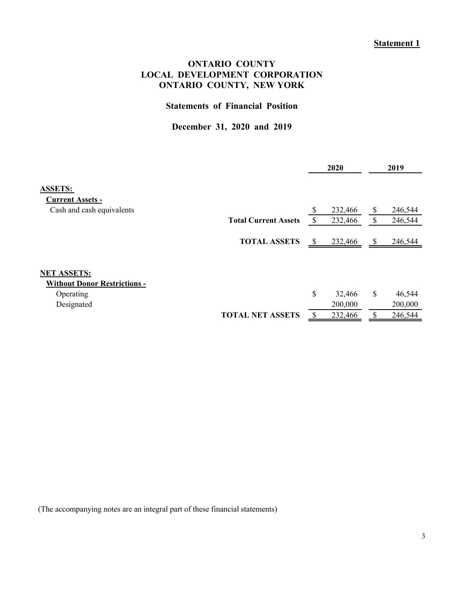# **Statement 1**

# **ONTARIO COUNTY LOCAL DEVELOPMENT CORPORATION ONTARIO COUNTY, NEW YORK**

**Statements of Financial Position**

# **December 31, 2020 and 2019**

|                                                                        |                             |    | 2020              |               | 2019              |
|------------------------------------------------------------------------|-----------------------------|----|-------------------|---------------|-------------------|
| <b>ASSETS:</b><br><b>Current Assets -</b><br>Cash and cash equivalents |                             | S  | 232,466           | <sup>\$</sup> | 246,544           |
|                                                                        | <b>Total Current Assets</b> | S  | 232,466           | \$            | 246,544           |
|                                                                        | <b>TOTAL ASSETS</b>         | \$ | 232,466           | S             | 246,544           |
| <b>NET ASSETS:</b>                                                     |                             |    |                   |               |                   |
| <b>Without Donor Restrictions -</b><br>Operating<br>Designated         |                             | \$ | 32,466<br>200,000 | \$            | 46,544<br>200,000 |
|                                                                        | <b>TOTAL NET ASSETS</b>     | S  | 232,466           |               | 246,544           |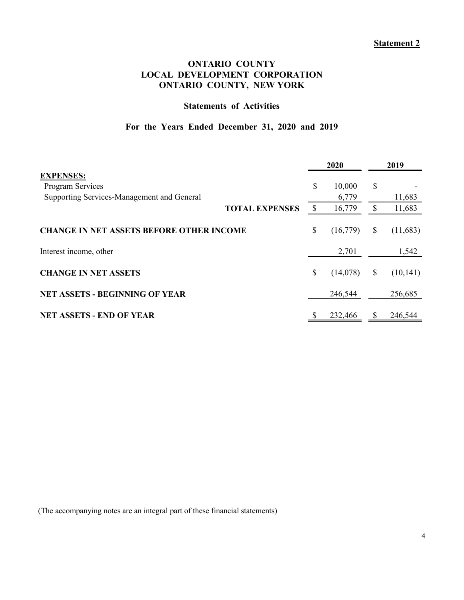# **Statements of Activities**

# **For the Years Ended December 31, 2020 and 2019**

|                                                                                    |    | 2020            | 2019            |
|------------------------------------------------------------------------------------|----|-----------------|-----------------|
| <b>EXPENSES:</b><br>Program Services<br>Supporting Services-Management and General | \$ | 10,000<br>6,779 | \$<br>11,683    |
| <b>TOTAL EXPENSES</b>                                                              | \$ | 16,779          | 11,683          |
| <b>CHANGE IN NET ASSETS BEFORE OTHER INCOME</b>                                    | \$ | (16,779)        | \$<br>(11,683)  |
| Interest income, other                                                             |    | 2,701           | 1,542           |
| <b>CHANGE IN NET ASSETS</b>                                                        | \$ | (14,078)        | \$<br>(10, 141) |
| <b>NET ASSETS - BEGINNING OF YEAR</b>                                              |    | 246,544         | 256,685         |
| <b>NET ASSETS - END OF YEAR</b>                                                    | S  | 232,466         | 246,544         |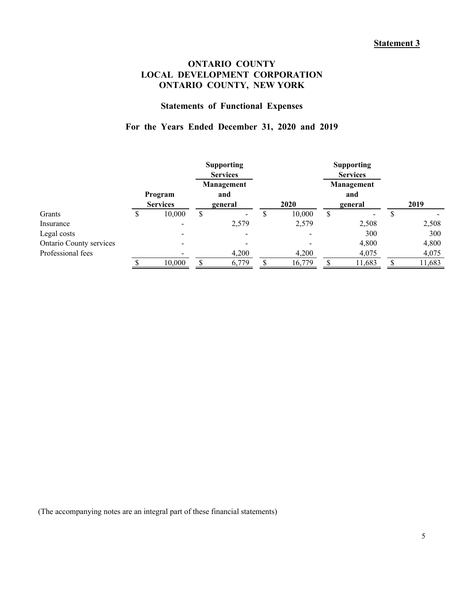# **Statements of Functional Expenses**

# **For the Years Ended December 31, 2020 and 2019**

|                                |   |                            | <b>Supporting</b><br><b>Services</b> |              | <b>Supporting</b><br><b>Services</b> |   |       |
|--------------------------------|---|----------------------------|--------------------------------------|--------------|--------------------------------------|---|-------|
|                                |   | Program<br><b>Services</b> | Management<br>and<br>general         | 2020         | Management<br>and<br>general         |   | 2019  |
| Grants                         | D | 10,000                     | \$<br>-                              | \$<br>10,000 | \$                                   | ъ |       |
| Insurance                      |   |                            | 2,579                                | 2,579        | 2,508                                |   | 2,508 |
| Legal costs                    |   |                            |                                      |              | 300                                  |   | 300   |
| <b>Ontario County services</b> |   |                            |                                      |              | 4,800                                |   | 4,800 |
| Professional fees              |   |                            | 4,200                                | 4,200        | 4,075                                |   | 4,075 |
|                                |   | 10,000                     | 6.779                                | 16,779       | 11,683                               |   | 1,683 |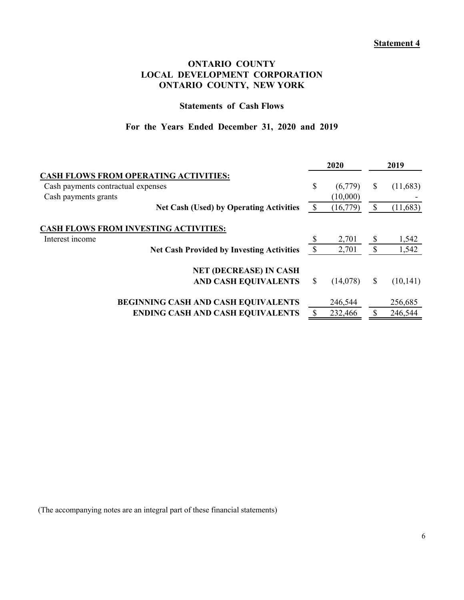# **Statements of Cash Flows**

# **For the Years Ended December 31, 2020 and 2019**

|                                                  | 2020 |          | 2019          |           |
|--------------------------------------------------|------|----------|---------------|-----------|
| <b>CASH FLOWS FROM OPERATING ACTIVITIES:</b>     |      |          |               |           |
| Cash payments contractual expenses               | \$   | (6,779)  | S             | (11,683)  |
| Cash payments grants                             |      | (10,000) |               |           |
| <b>Net Cash (Used) by Operating Activities</b>   |      | (16,779) | \$            | (11, 683) |
|                                                  |      |          |               |           |
| <b>CASH FLOWS FROM INVESTING ACTIVITIES:</b>     |      |          |               |           |
| Interest income                                  |      | 2,701    | S             | 1,542     |
| <b>Net Cash Provided by Investing Activities</b> |      | 2,701    | \$            | 1,542     |
| <b>NET (DECREASE) IN CASH</b>                    |      |          |               |           |
| <b>AND CASH EQUIVALENTS</b>                      | \$   | (14,078) | $\mathcal{S}$ | (10, 141) |
| <b>BEGINNING CASH AND CASH EQUIVALENTS</b>       |      | 246,544  |               | 256,685   |
| <b>ENDING CASH AND CASH EQUIVALENTS</b>          |      | 232,466  |               | 246,544   |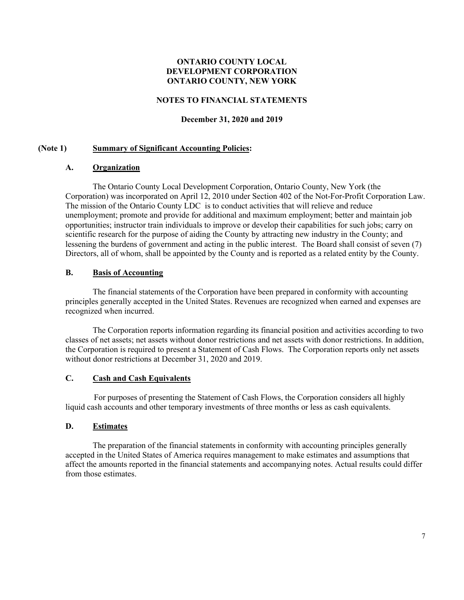### **NOTES TO FINANCIAL STATEMENTS**

#### **December 31, 2020 and 2019**

#### **(Note 1) Summary of Significant Accounting Policies:**

#### **A. Organization**

The Ontario County Local Development Corporation, Ontario County, New York (the Corporation) was incorporated on April 12, 2010 under Section 402 of the Not-For-Profit Corporation Law. The mission of the Ontario County LDC is to conduct activities that will relieve and reduce unemployment; promote and provide for additional and maximum employment; better and maintain job opportunities; instructor train individuals to improve or develop their capabilities for such jobs; carry on scientific research for the purpose of aiding the County by attracting new industry in the County; and lessening the burdens of government and acting in the public interest. The Board shall consist of seven (7) Directors, all of whom, shall be appointed by the County and is reported as a related entity by the County.

### **B. Basis of Accounting**

The financial statements of the Corporation have been prepared in conformity with accounting principles generally accepted in the United States. Revenues are recognized when earned and expenses are recognized when incurred.

The Corporation reports information regarding its financial position and activities according to two classes of net assets; net assets without donor restrictions and net assets with donor restrictions. In addition, the Corporation is required to present a Statement of Cash Flows. The Corporation reports only net assets without donor restrictions at December 31, 2020 and 2019.

#### **C. Cash and Cash Equivalents**

For purposes of presenting the Statement of Cash Flows, the Corporation considers all highly liquid cash accounts and other temporary investments of three months or less as cash equivalents.

#### **D. Estimates**

The preparation of the financial statements in conformity with accounting principles generally accepted in the United States of America requires management to make estimates and assumptions that affect the amounts reported in the financial statements and accompanying notes. Actual results could differ from those estimates.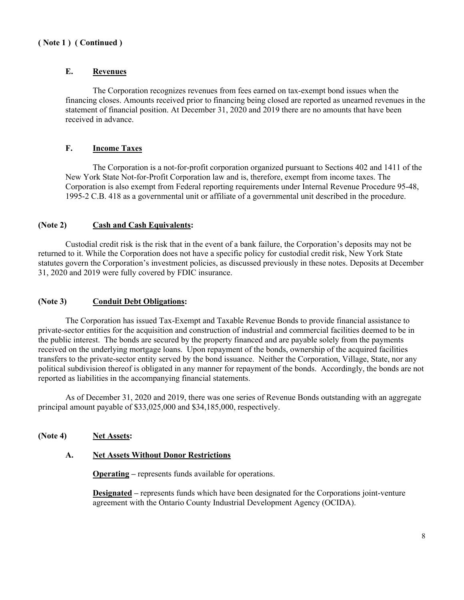### **E. Revenues**

The Corporation recognizes revenues from fees earned on tax-exempt bond issues when the financing closes. Amounts received prior to financing being closed are reported as unearned revenues in the statement of financial position. At December 31, 2020 and 2019 there are no amounts that have been received in advance.

### **F. Income Taxes**

The Corporation is a not-for-profit corporation organized pursuant to Sections 402 and 1411 of the New York State Not-for-Profit Corporation law and is, therefore, exempt from income taxes. The Corporation is also exempt from Federal reporting requirements under Internal Revenue Procedure 95-48, 1995-2 C.B. 418 as a governmental unit or affiliate of a governmental unit described in the procedure.

### **(Note 2) Cash and Cash Equivalents:**

Custodial credit risk is the risk that in the event of a bank failure, the Corporation's deposits may not be returned to it. While the Corporation does not have a specific policy for custodial credit risk, New York State statutes govern the Corporation's investment policies, as discussed previously in these notes. Deposits at December 31, 2020 and 2019 were fully covered by FDIC insurance.

### **(Note 3) Conduit Debt Obligations:**

The Corporation has issued Tax-Exempt and Taxable Revenue Bonds to provide financial assistance to private-sector entities for the acquisition and construction of industrial and commercial facilities deemed to be in the public interest. The bonds are secured by the property financed and are payable solely from the payments received on the underlying mortgage loans. Upon repayment of the bonds, ownership of the acquired facilities transfers to the private-sector entity served by the bond issuance. Neither the Corporation, Village, State, nor any political subdivision thereof is obligated in any manner for repayment of the bonds. Accordingly, the bonds are not reported as liabilities in the accompanying financial statements.

As of December 31, 2020 and 2019, there was one series of Revenue Bonds outstanding with an aggregate principal amount payable of \$33,025,000 and \$34,185,000, respectively.

### **(Note 4) Net Assets:**

### **A. Net Assets Without Donor Restrictions**

**Operating –** represents funds available for operations.

**Designated –** represents funds which have been designated for the Corporations joint-venture agreement with the Ontario County Industrial Development Agency (OCIDA).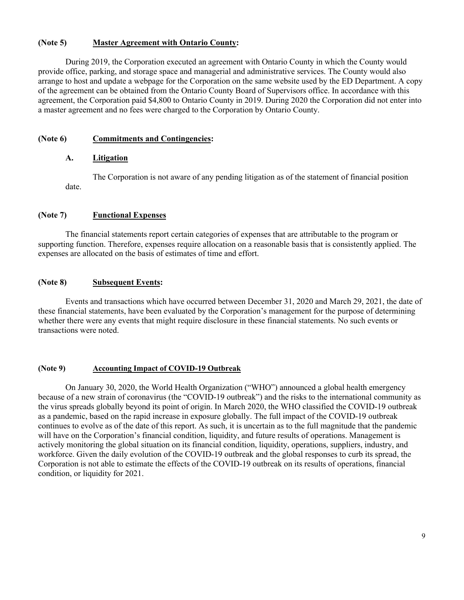### **(Note 5) Master Agreement with Ontario County:**

During 2019, the Corporation executed an agreement with Ontario County in which the County would provide office, parking, and storage space and managerial and administrative services. The County would also arrange to host and update a webpage for the Corporation on the same website used by the ED Department. A copy of the agreement can be obtained from the Ontario County Board of Supervisors office. In accordance with this agreement, the Corporation paid \$4,800 to Ontario County in 2019. During 2020 the Corporation did not enter into a master agreement and no fees were charged to the Corporation by Ontario County.

### **(Note 6) Commitments and Contingencies:**

### **A. Litigation**

The Corporation is not aware of any pending litigation as of the statement of financial position date.

#### **(Note 7) Functional Expenses**

The financial statements report certain categories of expenses that are attributable to the program or supporting function. Therefore, expenses require allocation on a reasonable basis that is consistently applied. The expenses are allocated on the basis of estimates of time and effort.

#### **(Note 8) Subsequent Events:**

Events and transactions which have occurred between December 31, 2020 and March 29, 2021, the date of these financial statements, have been evaluated by the Corporation's management for the purpose of determining whether there were any events that might require disclosure in these financial statements. No such events or transactions were noted.

#### **(Note 9) Accounting Impact of COVID-19 Outbreak**

On January 30, 2020, the World Health Organization ("WHO") announced a global health emergency because of a new strain of coronavirus (the "COVID-19 outbreak") and the risks to the international community as the virus spreads globally beyond its point of origin. In March 2020, the WHO classified the COVID-19 outbreak as a pandemic, based on the rapid increase in exposure globally. The full impact of the COVID-19 outbreak continues to evolve as of the date of this report. As such, it is uncertain as to the full magnitude that the pandemic will have on the Corporation's financial condition, liquidity, and future results of operations. Management is actively monitoring the global situation on its financial condition, liquidity, operations, suppliers, industry, and workforce. Given the daily evolution of the COVID-19 outbreak and the global responses to curb its spread, the Corporation is not able to estimate the effects of the COVID-19 outbreak on its results of operations, financial condition, or liquidity for 2021.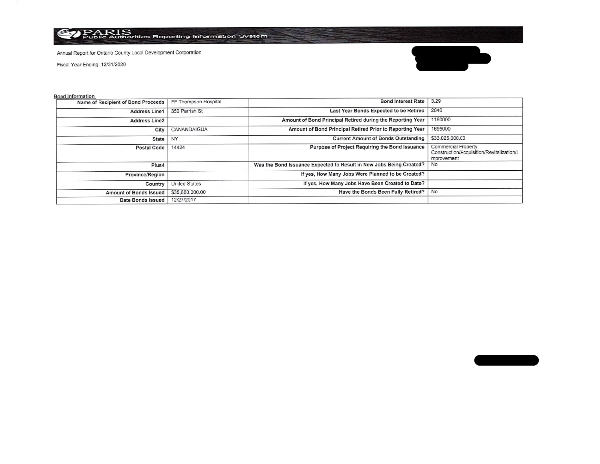PARIS<br>Public Authorities Reporting Information System

Annual Report for Ontario County Local Development Corporation

Fiscal Year Ending: 12/31/2020



**Bond Information** 

| Name of Recipient of Bond Proceeds | FF Thompson Hospital | <b>Bond Interest Rate</b>                                           | 3.29                                                                                  |
|------------------------------------|----------------------|---------------------------------------------------------------------|---------------------------------------------------------------------------------------|
| <b>Address Line1</b>               | 350 Parrish St       | Last Year Bonds Expected to be Retired                              | 2040                                                                                  |
| <b>Address Line2</b>               |                      | Amount of Bond Principal Retired during the Reporting Year          | 1160000                                                                               |
| City                               | CANANDAIGUA          | Amount of Bond Principal Retired Prior to Reporting Year            | 1695000                                                                               |
| <b>State</b>                       | NY                   | <b>Current Amount of Bonds Outstanding</b>                          | \$33,025,000.00                                                                       |
| <b>Postal Code</b>                 | 14424                | Purpose of Project Requiring the Bond Issuance                      | <b>Commercial Property</b><br>Construction/Acquisition/Revitalization/I<br>mprovement |
| Plus4                              |                      | Was the Bond Issuance Expected to Result in New Jobs Being Created? | No                                                                                    |
| <b>Province/Region</b>             |                      | If yes, How Many Jobs Were Planned to be Created?                   |                                                                                       |
| Country                            | <b>United States</b> | If yes, How Many Jobs Have Been Created to Date?                    |                                                                                       |
| Amount of Bonds Issued             | \$35,880,000.00      | Have the Bonds Been Fully Retired?                                  | No                                                                                    |
| Date Bonds Issued                  | 12/27/2017           |                                                                     |                                                                                       |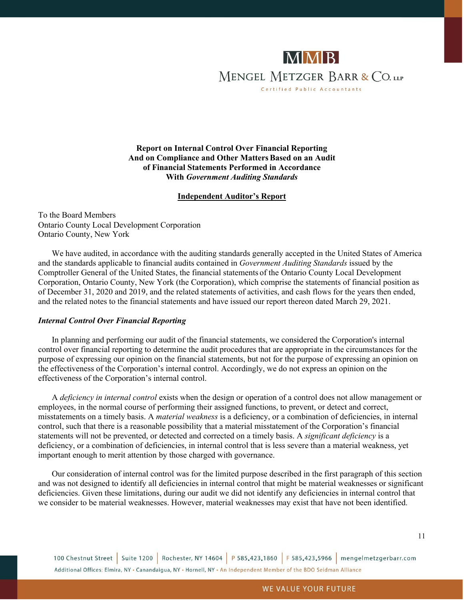

**Report on Internal Control Over Financial Reporting And on Compliance and Other MattersBased on an Audit of Financial Statements Performed in Accordance With** *Government Auditing Standards*

#### **Independent Auditor's Report**

To the Board Members Ontario County Local Development Corporation Ontario County, New York

We have audited, in accordance with the auditing standards generally accepted in the United States of America and the standards applicable to financial audits contained in *Government Auditing Standards* issued by the Comptroller General of the United States, the financial statements of the Ontario County Local Development Corporation, Ontario County, New York (the Corporation), which comprise the statements of financial position as of December 31, 2020 and 2019, and the related statements of activities, and cash flows for the years then ended, and the related notes to the financial statements and have issued our report thereon dated March 29, 2021.

### *Internal Control Over Financial Reporting*

In planning and performing our audit of the financial statements, we considered the Corporation's internal control over financial reporting to determine the audit procedures that are appropriate in the circumstances for the purpose of expressing our opinion on the financial statements, but not for the purpose of expressing an opinion on the effectiveness of the Corporation's internal control. Accordingly, we do not express an opinion on the effectiveness of the Corporation's internal control.

A *deficiency in internal control* exists when the design or operation of a control does not allow management or employees, in the normal course of performing their assigned functions, to prevent, or detect and correct, misstatements on a timely basis. A *material weakness* is a deficiency, or a combination of deficiencies, in internal control, such that there is a reasonable possibility that a material misstatement of the Corporation's financial statements will not be prevented, or detected and corrected on a timely basis. A *significant deficiency* is a deficiency, or a combination of deficiencies, in internal control that is less severe than a material weakness, yet important enough to merit attention by those charged with governance.

Our consideration of internal control was for the limited purpose described in the first paragraph of this section and was not designed to identify all deficiencies in internal control that might be material weaknesses or significant deficiencies. Given these limitations, during our audit we did not identify any deficiencies in internal control that we consider to be material weaknesses. However, material weaknesses may exist that have not been identified.

100 Chestnut Street | Suite 1200 | Rochester, NY 14604 | P 585.423.1860 | F 585.423.5966 | mengelmetzgerbarr.com Additional Offices: Elmira, NY . Canandaigua, NY . Hornell, NY . An Independent Member of the BDO Seidman Alliance

11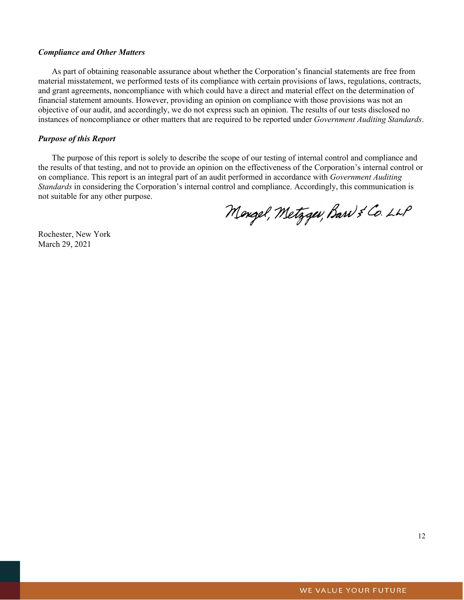#### *Compliance and Other Matters*

As part of obtaining reasonable assurance about whether the Corporation's financial statements are free from material misstatement, we performed tests of its compliance with certain provisions of laws, regulations, contracts, and grant agreements, noncompliance with which could have a direct and material effect on the determination of financial statement amounts. However, providing an opinion on compliance with those provisions was not an objective of our audit, and accordingly, we do not express such an opinion. The results of our tests disclosed no instances of noncompliance or other matters that are required to be reported under *Government Auditing Standards*.

#### *Purpose of this Report*

The purpose of this report is solely to describe the scope of our testing of internal control and compliance and the results of that testing, and not to provide an opinion on the effectiveness of the Corporation's internal control or on compliance. This report is an integral part of an audit performed in accordance with *Government Auditing Standards* in considering the Corporation's internal control and compliance. Accordingly, this communication is not suitable for any other purpose.

Mongel, Metzger, Barr) & Co. LLP

Rochester, New York March 29, 2021